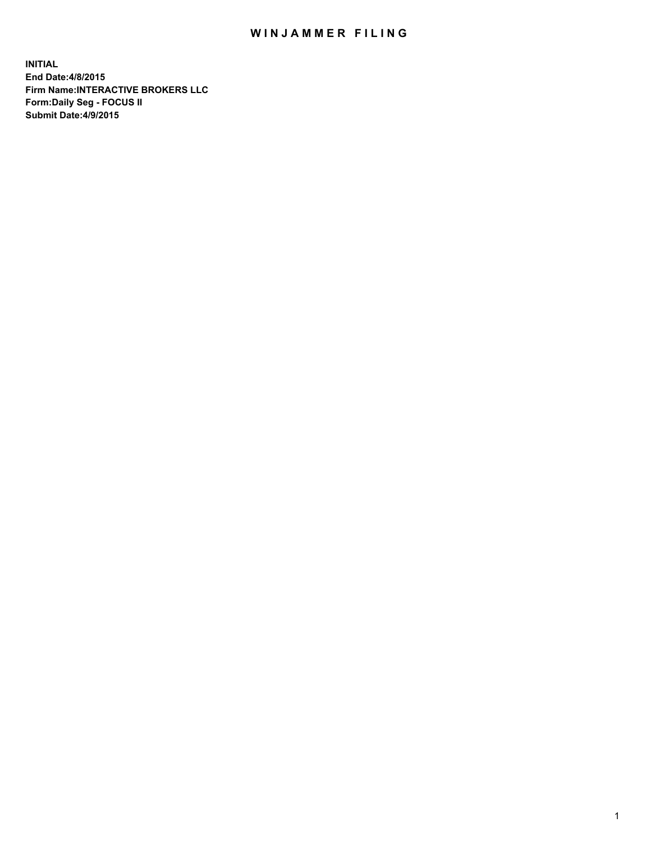## WIN JAMMER FILING

**INITIAL End Date:4/8/2015 Firm Name:INTERACTIVE BROKERS LLC Form:Daily Seg - FOCUS II Submit Date:4/9/2015**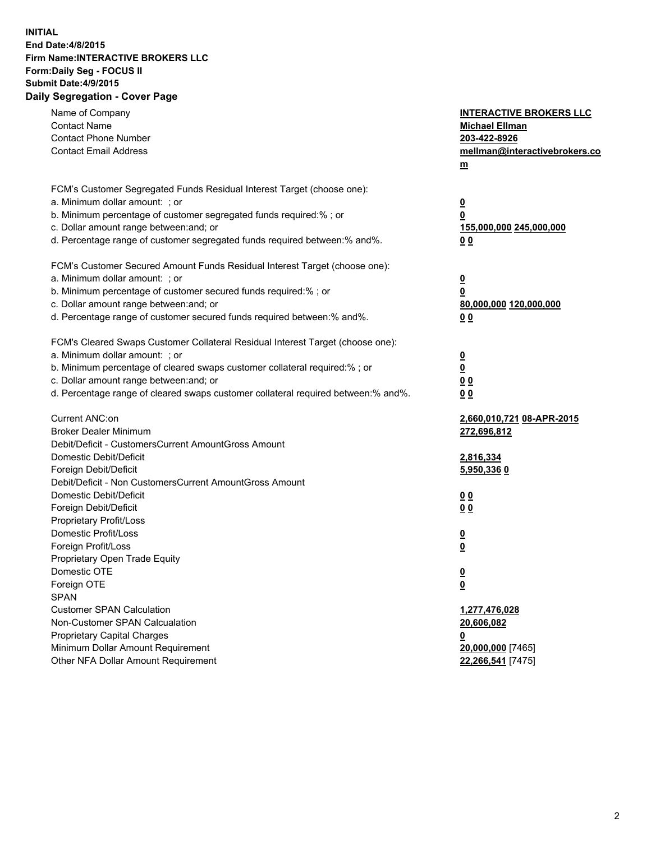## **INITIAL End Date:4/8/2015 Firm Name:INTERACTIVE BROKERS LLC Form:Daily Seg - FOCUS II Submit Date:4/9/2015 Daily Segregation - Cover Page**

| Name of Company                                                                   | <b>INTERACTIVE BROKERS LLC</b> |
|-----------------------------------------------------------------------------------|--------------------------------|
| <b>Contact Name</b>                                                               | <b>Michael Ellman</b>          |
| <b>Contact Phone Number</b>                                                       | 203-422-8926                   |
| <b>Contact Email Address</b>                                                      | mellman@interactivebrokers.co  |
|                                                                                   | $\underline{\mathbf{m}}$       |
| FCM's Customer Segregated Funds Residual Interest Target (choose one):            |                                |
| a. Minimum dollar amount: ; or                                                    | $\overline{\mathbf{0}}$        |
| b. Minimum percentage of customer segregated funds required:% ; or                | 0                              |
| c. Dollar amount range between: and; or                                           | 155,000,000 245,000,000        |
| d. Percentage range of customer segregated funds required between:% and%.         | 00                             |
| FCM's Customer Secured Amount Funds Residual Interest Target (choose one):        |                                |
| a. Minimum dollar amount: ; or                                                    | $\overline{\mathbf{0}}$        |
| b. Minimum percentage of customer secured funds required:% ; or                   | 0                              |
| c. Dollar amount range between: and; or                                           | 80,000,000 120,000,000         |
| d. Percentage range of customer secured funds required between:% and%.            | 00                             |
| FCM's Cleared Swaps Customer Collateral Residual Interest Target (choose one):    |                                |
| a. Minimum dollar amount: ; or                                                    | $\overline{\mathbf{0}}$        |
| b. Minimum percentage of cleared swaps customer collateral required:% ; or        | $\underline{\mathbf{0}}$       |
| c. Dollar amount range between: and; or                                           | 0 <sub>0</sub>                 |
| d. Percentage range of cleared swaps customer collateral required between:% and%. | 0 <sub>0</sub>                 |
|                                                                                   |                                |
| Current ANC:on                                                                    | 2,660,010,721 08-APR-2015      |
| <b>Broker Dealer Minimum</b>                                                      | 272,696,812                    |
| Debit/Deficit - CustomersCurrent AmountGross Amount                               |                                |
| Domestic Debit/Deficit                                                            | 2,816,334                      |
| Foreign Debit/Deficit                                                             | 5,950,3360                     |
| Debit/Deficit - Non CustomersCurrent AmountGross Amount                           |                                |
| Domestic Debit/Deficit                                                            | 0 <sub>0</sub>                 |
| Foreign Debit/Deficit                                                             | 0 <sub>0</sub>                 |
| Proprietary Profit/Loss                                                           |                                |
| Domestic Profit/Loss                                                              | $\overline{\mathbf{0}}$        |
| Foreign Profit/Loss                                                               | $\underline{\mathbf{0}}$       |
| Proprietary Open Trade Equity                                                     |                                |
| Domestic OTE                                                                      | <u>0</u>                       |
| Foreign OTE                                                                       | <u>0</u>                       |
| <b>SPAN</b>                                                                       |                                |
| <b>Customer SPAN Calculation</b>                                                  | 1,277,476,028                  |
| Non-Customer SPAN Calcualation                                                    | 20,606,082                     |
| <b>Proprietary Capital Charges</b>                                                | <u>0</u>                       |
| Minimum Dollar Amount Requirement                                                 | 20,000,000 [7465]              |
| Other NFA Dollar Amount Requirement                                               | 22,266,541 [7475]              |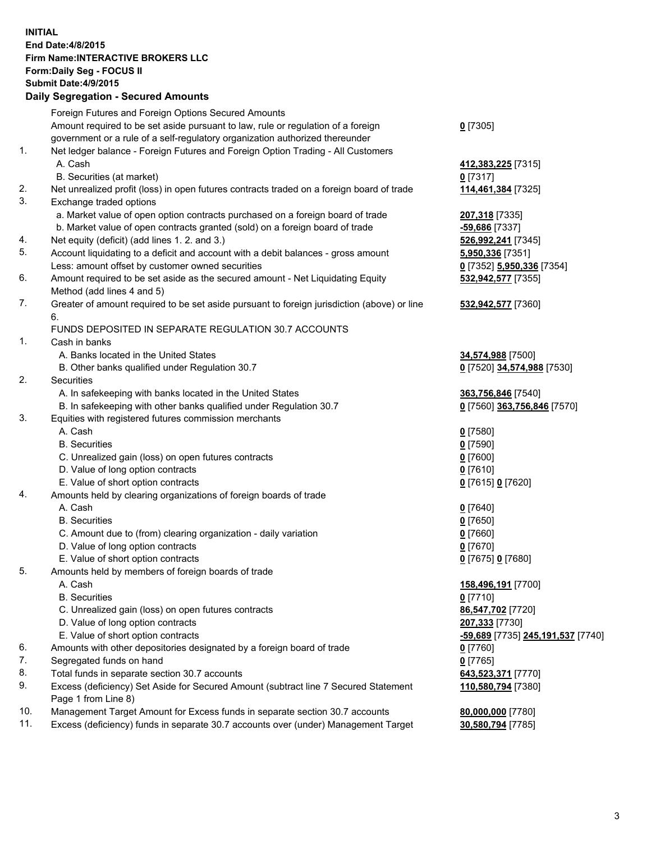## **INITIAL End Date:4/8/2015 Firm Name:INTERACTIVE BROKERS LLC Form:Daily Seg - FOCUS II Submit Date:4/9/2015 Daily Segregation - Secured Amounts**

|     | Foreign Futures and Foreign Options Secured Amounts                                         |                                   |
|-----|---------------------------------------------------------------------------------------------|-----------------------------------|
|     | Amount required to be set aside pursuant to law, rule or regulation of a foreign            | $0$ [7305]                        |
|     | government or a rule of a self-regulatory organization authorized thereunder                |                                   |
| 1.  | Net ledger balance - Foreign Futures and Foreign Option Trading - All Customers             |                                   |
|     | A. Cash                                                                                     | 412,383,225 [7315]                |
|     | B. Securities (at market)                                                                   | $0$ [7317]                        |
| 2.  | Net unrealized profit (loss) in open futures contracts traded on a foreign board of trade   | 114,461,384 [7325]                |
| 3.  | Exchange traded options                                                                     |                                   |
|     | a. Market value of open option contracts purchased on a foreign board of trade              | 207,318 [7335]                    |
|     | b. Market value of open contracts granted (sold) on a foreign board of trade                | -59,686 [7337]                    |
| 4.  | Net equity (deficit) (add lines 1.2. and 3.)                                                | 526,992,241 [7345]                |
| 5.  | Account liquidating to a deficit and account with a debit balances - gross amount           | 5,950,336 [7351]                  |
|     | Less: amount offset by customer owned securities                                            |                                   |
| 6.  |                                                                                             | 0 [7352] 5,950,336 [7354]         |
|     | Amount required to be set aside as the secured amount - Net Liquidating Equity              | 532,942,577 [7355]                |
|     | Method (add lines 4 and 5)                                                                  |                                   |
| 7.  | Greater of amount required to be set aside pursuant to foreign jurisdiction (above) or line | 532,942,577 [7360]                |
|     | 6.                                                                                          |                                   |
|     | FUNDS DEPOSITED IN SEPARATE REGULATION 30.7 ACCOUNTS                                        |                                   |
| 1.  | Cash in banks                                                                               |                                   |
|     | A. Banks located in the United States                                                       | 34,574,988 [7500]                 |
|     | B. Other banks qualified under Regulation 30.7                                              | 0 [7520] 34,574,988 [7530]        |
| 2.  | Securities                                                                                  |                                   |
|     | A. In safekeeping with banks located in the United States                                   | 363,756,846 [7540]                |
|     | B. In safekeeping with other banks qualified under Regulation 30.7                          | 0 [7560] 363,756,846 [7570]       |
| 3.  | Equities with registered futures commission merchants                                       |                                   |
|     | A. Cash                                                                                     | $0$ [7580]                        |
|     | <b>B.</b> Securities                                                                        | $0$ [7590]                        |
|     | C. Unrealized gain (loss) on open futures contracts                                         | $0$ [7600]                        |
|     | D. Value of long option contracts                                                           | $0$ [7610]                        |
|     | E. Value of short option contracts                                                          | 0 [7615] 0 [7620]                 |
| 4.  | Amounts held by clearing organizations of foreign boards of trade                           |                                   |
|     | A. Cash                                                                                     | $0$ [7640]                        |
|     | <b>B.</b> Securities                                                                        | $0$ [7650]                        |
|     | C. Amount due to (from) clearing organization - daily variation                             | $0$ [7660]                        |
|     | D. Value of long option contracts                                                           | $0$ [7670]                        |
|     | E. Value of short option contracts                                                          | 0 [7675] 0 [7680]                 |
| 5.  | Amounts held by members of foreign boards of trade                                          |                                   |
|     | A. Cash                                                                                     | 158,496,191 [7700]                |
|     | <b>B.</b> Securities                                                                        | $0$ [7710]                        |
|     | C. Unrealized gain (loss) on open futures contracts                                         | 86,547,702 [7720]                 |
|     | D. Value of long option contracts                                                           | 207,333 [7730]                    |
|     | E. Value of short option contracts                                                          | -59,689 [7735] 245,191,537 [7740] |
| 6.  | Amounts with other depositories designated by a foreign board of trade                      | $0$ [7760]                        |
| 7.  | Segregated funds on hand                                                                    | $0$ [7765]                        |
| 8.  | Total funds in separate section 30.7 accounts                                               | 643,523,371 [7770]                |
| 9.  | Excess (deficiency) Set Aside for Secured Amount (subtract line 7 Secured Statement         | 110,580,794 [7380]                |
|     | Page 1 from Line 8)                                                                         |                                   |
| 10. |                                                                                             |                                   |
| 11. | Management Target Amount for Excess funds in separate section 30.7 accounts                 | 80,000,000 [7780]                 |
|     | Excess (deficiency) funds in separate 30.7 accounts over (under) Management Target          | 30,580,794 [7785]                 |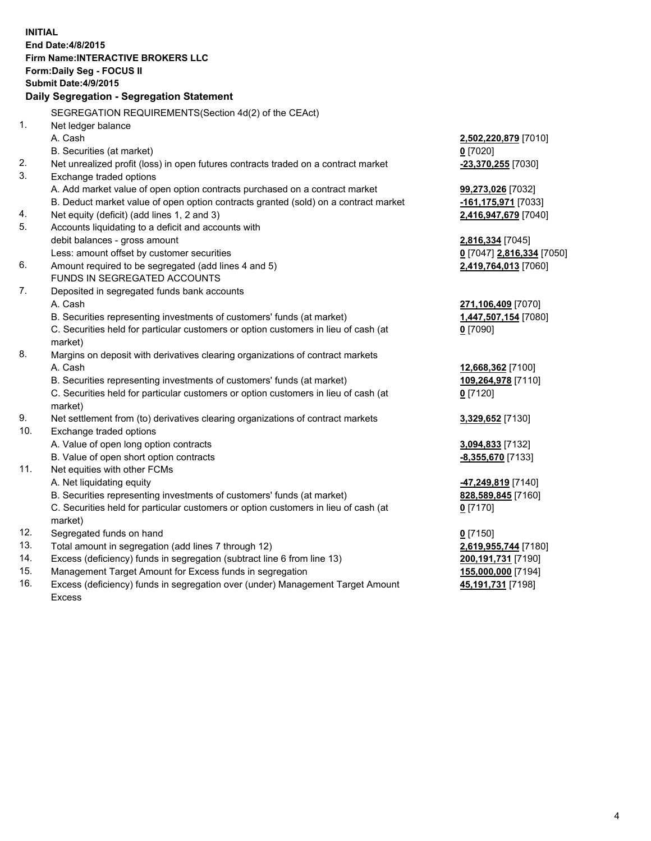**INITIAL End Date:4/8/2015 Firm Name:INTERACTIVE BROKERS LLC Form:Daily Seg - FOCUS II Submit Date:4/9/2015 Daily Segregation - Segregation Statement** SEGREGATION REQUIREMENTS(Section 4d(2) of the CEAct) 1. Net ledger balance A. Cash **2,502,220,879** [7010] B. Securities (at market) **0** [7020] 2. Net unrealized profit (loss) in open futures contracts traded on a contract market **-23,370,255** [7030] 3. Exchange traded options A. Add market value of open option contracts purchased on a contract market **99,273,026** [7032] B. Deduct market value of open option contracts granted (sold) on a contract market **-161,175,971** [7033] 4. Net equity (deficit) (add lines 1, 2 and 3) **2,416,947,679** [7040] 5. Accounts liquidating to a deficit and accounts with debit balances - gross amount **2,816,334** [7045] Less: amount offset by customer securities **0** [7047] **2,816,334** [7050] 6. Amount required to be segregated (add lines 4 and 5) **2,419,764,013** [7060] FUNDS IN SEGREGATED ACCOUNTS 7. Deposited in segregated funds bank accounts A. Cash **271,106,409** [7070] B. Securities representing investments of customers' funds (at market) **1,447,507,154** [7080] C. Securities held for particular customers or option customers in lieu of cash (at market) **0** [7090] 8. Margins on deposit with derivatives clearing organizations of contract markets A. Cash **12,668,362** [7100] B. Securities representing investments of customers' funds (at market) **109,264,978** [7110] C. Securities held for particular customers or option customers in lieu of cash (at market) **0** [7120] 9. Net settlement from (to) derivatives clearing organizations of contract markets **3,329,652** [7130] 10. Exchange traded options A. Value of open long option contracts **3,094,833** [7132] B. Value of open short option contracts **-8,355,670** [7133] 11. Net equities with other FCMs A. Net liquidating equity **-47,249,819** [7140] B. Securities representing investments of customers' funds (at market) **828,589,845** [7160] C. Securities held for particular customers or option customers in lieu of cash (at market) **0** [7170] 12. Segregated funds on hand **0** [7150] 13. Total amount in segregation (add lines 7 through 12) **2,619,955,744** [7180] 14. Excess (deficiency) funds in segregation (subtract line 6 from line 13) **200,191,731** [7190] 15. Management Target Amount for Excess funds in segregation **155,000,000** [7194] 16. Excess (deficiency) funds in segregation over (under) Management Target Amount **45,191,731** [7198]

Excess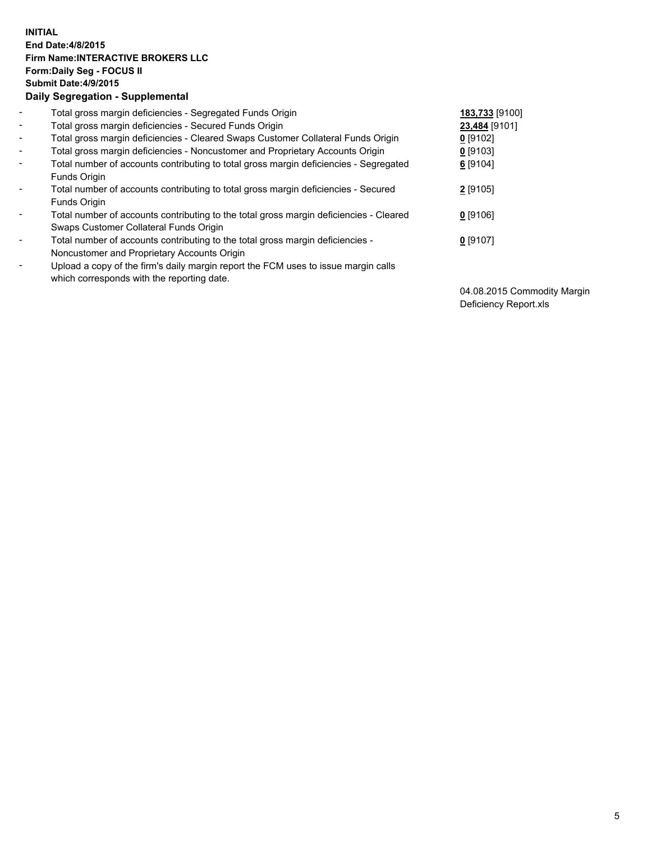## **INITIAL End Date:4/8/2015 Firm Name:INTERACTIVE BROKERS LLC Form:Daily Seg - FOCUS II Submit Date:4/9/2015 Daily Segregation - Supplemental**

| $\blacksquare$ | Total gross margin deficiencies - Segregated Funds Origin                                                                        | 183,733 [9100] |
|----------------|----------------------------------------------------------------------------------------------------------------------------------|----------------|
| $\sim$         | Total gross margin deficiencies - Secured Funds Origin                                                                           | 23,484 [9101]  |
| $\blacksquare$ | Total gross margin deficiencies - Cleared Swaps Customer Collateral Funds Origin                                                 | 0 [9102]       |
| $\blacksquare$ | Total gross margin deficiencies - Noncustomer and Proprietary Accounts Origin                                                    | $0$ [9103]     |
| $\blacksquare$ | Total number of accounts contributing to total gross margin deficiencies - Segregated<br>Funds Origin                            | 6 [9104]       |
| $\blacksquare$ | Total number of accounts contributing to total gross margin deficiencies - Secured<br>Funds Origin                               | 2 [9105]       |
| $\blacksquare$ | Total number of accounts contributing to the total gross margin deficiencies - Cleared<br>Swaps Customer Collateral Funds Origin | $0$ [9106]     |
| $\blacksquare$ | Total number of accounts contributing to the total gross margin deficiencies -<br>Noncustomer and Proprietary Accounts Origin    | $0$ [9107]     |
| $\blacksquare$ | Upload a copy of the firm's daily margin report the FCM uses to issue margin calls<br>which corresponds with the reporting date. |                |

04.08.2015 Commodity Margin Deficiency Report.xls